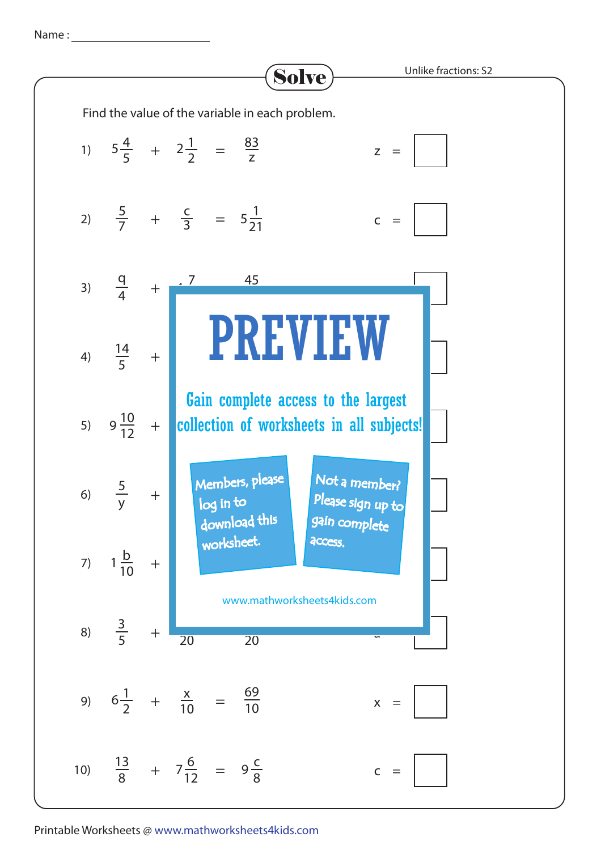